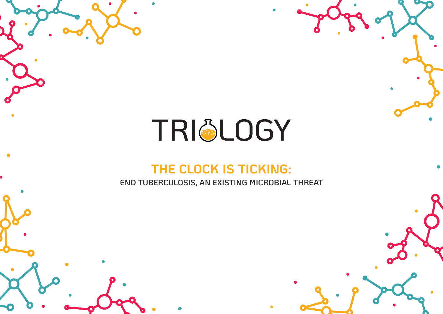# TRI&LOGY

## **THE CLOCK IS TICKING:**

**END TUBERCULOSIS, AN EXISTING MICROBIAL THREAT**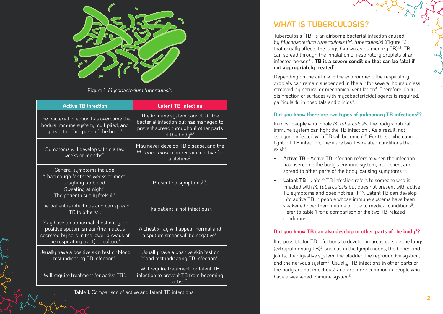

Figure 1. *Mycobacterium tuberculosis*

| <b>Active TB infection</b>                                                                                                                                                                              | <b>Latent TB infection</b>                                                                                                                           |
|---------------------------------------------------------------------------------------------------------------------------------------------------------------------------------------------------------|------------------------------------------------------------------------------------------------------------------------------------------------------|
| The bacterial infection has overcome the<br>body's immune system, multiplied, and<br>spread to other parts of the body <sup>3</sup> .                                                                   | The immune system cannot kill the<br>bacterial infection but has managed to<br>prevent spread throughout other parts<br>of the body <sup>3,7</sup> . |
| Symptoms will develop within a few<br>weeks or months <sup>5</sup> .                                                                                                                                    | May never develop TB disease, and the<br>M. tuberculosis can remain inactive for<br>a lifetime <sup>7</sup> .                                        |
| General symptoms include:<br>A bad cough for three weeks or more <sup>1</sup> .<br>Coughing up blood <sup>1</sup> .<br>Sweating at night <sup>1</sup> .<br>The patient usually feels ill <sup>1</sup> . | Present no symptoms <sup>5,7</sup> .                                                                                                                 |
| The patient is infectious and can spread<br>TB to others <sup>7</sup> .                                                                                                                                 | The patient is not infectious <sup>7</sup> .                                                                                                         |
| May have an abnormal chest x-ray, or<br>positive sputum smear (the mucous<br>secreted by cells in the lower airways of<br>the respiratory tract) or culture <sup>7</sup> .                              | A chest x-ray will appear normal and<br>a sputum smear will be negative <sup>7</sup> .                                                               |
| Usually have a positive skin test or blood<br>test indicating TB infection <sup>7</sup> .                                                                                                               | Usually have a positive skin test or<br>blood test indicating TB infection <sup>7</sup> .                                                            |
| Will require treatment for active TB <sup>7</sup> .                                                                                                                                                     | Will require treatment for latent TB<br>infection to prevent TB from becoming<br>active <sup>7</sup> .                                               |

Table 1. Comparison of active and latent TB infections

## **WHAT IS TUBERCULOSIS?**

Tuberculosis (TB) is an airborne bacterial infection caused by *Mycobacterium tuberculosis* (*M. tuberculosis*) (Figure 1.) that usually affects the lungs (known as pulmonary TB) $1,2$ . TB can spread through the inhalation of respiratory droplets of an infected person<sup>1,3</sup>. **TB is a severe condition that can be fatal if not appropriately treated**<sup>1</sup> .

Depending on the airflow in the environment, the respiratory droplets can remain suspended in the air for several hours unless removed by natural or mechanical ventilation<sup>4</sup>. Therefore, daily disinfection of surfaces with mycobactericidal agents is required, particularly in hospitals and clinics<sup>4</sup>.

#### Did you know there are two types of pulmonary TB infections<sup>3</sup>?

In most people who inhale *M. tuberculosis*, the body's natural immune system can fight the TB infection<sup>3</sup>. As a result, not everyone infected with TB will become ill<sup>3</sup>. For those who cannot fight-off TB infection, there are two TB-related conditions that exist $3$ :

- **• Active TB -** Active TB infection refers to when the infection has overcome the body's immune sustem, multiplied, and spread to other parts of the body, causing symptoms<sup>3,5</sup>.
- **Latent TB** Latent TB infection refers to someone who is infected with *M. tuberculosis* but does not present with active TB symptoms and does not feel ill<sup>3,5</sup>. Latent TB can develop into active TB in people whose immune systems have been weakened over their lifetime or due to medical conditions<sup>5</sup>. Refer to table 1 for a comparison of the two TB-related conditions.

#### **Did you know TB can also develop in other parts of the body5?**

It is possible for TB infections to develop in areas outside the lungs (extrapulmonary  $TB$ )<sup>5</sup>, such as in the lymph nodes, the bones and joints, the digestive system, the bladder, the reproductive system, and the nervous sustem<sup>4</sup>. Usually, TB infections in other parts of the body are not infectious<sup>6</sup> and are more common in people who have a weakened immune sustem<sup>5</sup>.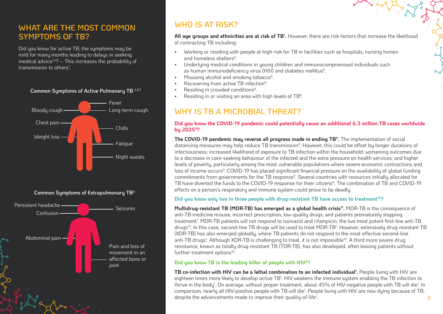## **WHAT ARE THE MOST COMMON SYMPTOMS OF TB?**

Did you know for active TB, the symptoms may be mild for many months leading to delays in seeking medical advice<sup>1,5</sup>?  $-$  This increases the probability of transmission to others<sup>1</sup>.





## **WHO IS AT RISK?**

**All age groups and ethnicities are at risk of TB1 .** However, there are risk factors that increase the likelihood of contracting TB including:

- Working or residing with people at high risk for TB in facilities such as hospitals, nursing homes and homeless shelters<sup>8</sup>.
- Underlying medical conditions in young children and immunocompromised individuals such as human immunodeficiency virus (HIV) and diabetes mellitus<sup>8</sup>.
- $\bullet$  Misusing alcohol and smoking tobacco<sup>8</sup>.
- Recovering from active TB infection<sup>8</sup>.
- Residing in crowded conditions<sup>8</sup>.
- Residing in or visiting an area with high levels of TB<sup>8</sup>.

## **WHY IS TB A MICROBIAL THREAT?**

#### **Did you know the COVID-19 pandemic could potentially cause an additional 6.3 million TB cases worldwide by 20259?**

**The COVID-19 pandemic may reverse all progress made in ending TB9.** The implementation of social distancing measures may help reduce TB transmission<sup>9</sup>. However, this could be offset by longer durations of infectiousness; increased likelihood of exposure to TB infection within the household; worsening outcomes due to a decrease in care-seeking behaviour of the infected and the extra pressure on health services; and higher levels of poverty, particularly among the most vulnerable populations where severe economic contractions and loss of income occurs<sup>9</sup>. COVID-19 has placed significant financial pressure on the availability of global funding commitments from governments for the TB response<sup>9</sup>. Several countries with resources initially allocated for TB have diverted the funds to the COVID-19 response for their citizens<sup>9</sup>. The combination of TB and COVID-19 effects on a person's respiratory and immune system could prove to be deadly.

#### **Did you know only two in three people with drug-resistant TB have access to treatment10?**

Multidrug-resistant TB (MDR-TB) has emerged as a global health crisis<sup>11</sup>. MDR-TB is the consequence of anti-TB medicine misuse, incorrect prescription, low-quality drugs, and patients prematurely stopping treatment1 . MDR-TB patients will not respond to isoniazid and rifampicin, the two most potent first-line anti-TB drugs<sup>10</sup>. In this case, second-line TB drugs will be used to treat MDR-TB<sup>1</sup>. However, extensively drug-resistant TB (XDR-TB) has also emerged globally, where TB patients do not respond to the most effective second-line anti-TB drugs<sup>1</sup>. Although XDR-TB is challenging to treat, it is not impossible<sup>10</sup>. A third more severe drug resistance, known as totally drug-resistant TB (TDR-TB), has also developed, often leaving patients without further treatment options<sup>10</sup>.

#### **Did you know TB is the leading killer of people with HIV8?**

**TB co-infection with HIV can be a lethal combination to an infected individual1 .** People living with HIV are eighteen times more likely to develop active TB<sup>1</sup>. HIV weakens the immune system enabling the TB infection to thrive in the body<sup>1</sup>. On average, without proper treatment, about 45% of HIV-negative people with TB will die<sup>1</sup>. In comparison, nearly all HIV-positive people with TB will die<sup>1</sup>. People living with HIV are now dying because of TB, despite the advancements made to improve their quality-of-life<sup>1</sup>. . **3** 

#### **Common Symptoms of Active Pulmonary TB 1,3,7**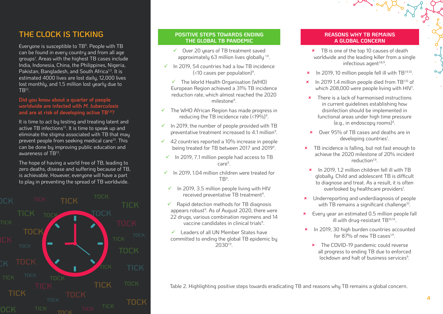## **THE CLOCK IS TICKING**

Everyone is susceptible to TB<sup>9</sup>. People with TB can be found in every country and from all age groups1 . Areas with the highest TB cases include India, Indonesia, China, the Philippines, Nigeria, Pakistan, Bangladesh, and South Africa<sup>1,3</sup>. It is estimated 4000 lives are lost daily, 12,000 lives lost monthly, and 1.5 million lost yearly due to  $TB^{12}$ .

#### **Did you know about a quarter of people worldwide are infected with** *M. tuberculosis* **and are at risk of developing active TB1,8?**

It is time to act by testing and treating latent and active TB infections<sup>13</sup>. It is time to speak up and eliminate the stigma associated with TB that may prevent people from seeking medical care<sup>13</sup>. This can be done by improving public education and awareness of TB13.

The hope of having a world free of TB, leading to zero deaths, disease and suffering because of TB, is achievable. However, everyone will have a part to play in preventing the spread of TB worldwide.



#### **POSITIVE STEPS TOWARDS ENDING THE GLOBAL TB PANDEMIC**

- $\checkmark$  Over 20 years of TB treatment saved approximately 63 million lives globally <sup>1,9</sup>.
- $\checkmark$  In 2019, 54 countries had a low TB incidence  $\langle$ <10 cases per population)<sup>9</sup>.
	- $\checkmark$  The World Health Organisation (WHO) European Region achieved a 31% TB incidence reduction rate, which almost reached the 2020 milestone9.
- $\checkmark$  The WHO African Region has made progress in reducing the TB incidence rate  $\langle$  <19%)<sup>9</sup>.
- $\checkmark$  In 2019, the number of people provided with TB preventative treatment increased to 4.1 million<sup>9</sup>.
- $\checkmark$  42 countries reported a 10% increase in people being treated for TB between 2017 and 2019<sup>9</sup>.
	- In 2019, 7.1 million people had access to TB care9.
- In 2019, 1.04 million children were treated for TB9.
- $\checkmark$  In 2019, 3.5 million people living with HIV received preventative TB treatment<sup>9</sup>.
- $\checkmark$  Rapid detection methods for TB diagnosis appears robust<sup>9</sup>. As of August 2020, there were 22 drugs, various combination regimens and 14 vaccine candidates in clinical trials<sup>9</sup>.
- $\checkmark$  Leaders of all UN Member States have committed to ending the global TB epidemic by 20301,9.

#### **REASONS WHY TB REMAINS A GLOBAL CONCERN**

- **\*** TB is one of the top 10 causes of death worldwide and the leading killer from a single infectious agent $1,8,9$ .
- $\cdot$  In 2019, 10 million people fell ill with TB<sup>1,9,10</sup>.
- $\star$  In 2019 1.4 million people died from TB<sup>1,10</sup> of which 208,000 were people living with  ${\sf HIV^{1}}$ .
- $\star$  There is a lack of harmonised instructions in current guidelines establishing how disinfection should be implemented in functional areas under high time pressure (e.g., in endoscopy rooms)<sup>4</sup>.
- **8** Over 95% of TB cases and deaths are in developing countries<sup>1</sup>.
- **\*** TB incidence is falling, but not fast enough to achieve the 2020 milestone of 20% incident reduction1,9.
	- 8 In 2019, 1.2 million children fell ill with TB globally. Child and adolescent TB is difficult to diagnose and treat. As a result, it is often overlooked by healthcare providers<sup>1</sup>.
- **\*** Underreporting and underdiagnosis of people with TB remains a significant challenge<sup>10</sup>.
- **\*** Every year an estimated 0.5 million people fall ill with drug-resistant TB10,14.
- **\*** In 2019, 30 high burden countries accounted for  $87\%$  of new TB cases<sup>1,9</sup>
	- **\*** The COVID-19 pandemic could reverse all progress to ending TB due to enforced lockdown and halt of business services<sup>9</sup>.

Table 2. Highlighting positive steps towards eradicating TB and reasons why TB remains a global concern.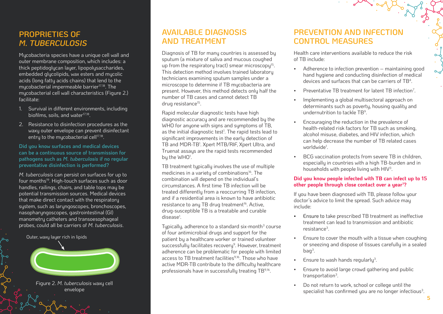## **PROPRIETIES OF**  *M. TUBERCULOSIS*

Mycobacteria species have a unique cell wall and outer membrane composition, which includes: a thick peptidoglycan layer, lipopolysaccharides, embedded glycolipids, wax esters and mycolic acids (long fatty acids chains) that lend to the mycobacterial impermeable barrier<sup>17,18</sup>. The mycobacterial cell wall characteristics (Figure 2.) facilitate:

- 1. Survival in different environments, including biofilms, soils, and water<sup>17,18</sup>.
- 2. Resistance to disinfection procedures as the waxy outer envelope can prevent disinfectant entry to the mucobacterial cell $17,18$ .

#### **Did you know surfaces and medical devices can be a continuous source of transmission for pathogens such as** *M. tuberculosis* **if no regular preventative disinfection is performed?**

*M. tuberculosis* can persist on surfaces for up to four months19. High-touch surfaces such as door handles, railings, chairs, and table tops may be potential transmission sources. Medical devices that make direct contact with the respiratory system, such as laryngoscopes, bronchoscopes, nasopharyngoscopes, gastrointestinal (GI) manometry catheters and transoesophageal probes, could all be carriers of *M. tuberculosis*.

Outer, waxy layer rich in lipids



Figure 2. *M. tuberculosis* waxy cell envelope

### **AVAILABLE DIAGNOSIS AND TREATMENT**

Diagnosis of TB for many countries is assessed by sputum (a mixture of saliva and mucous coughed up from the respiratory tract) smear microscopy<sup>15</sup>. This detection method involves trained laboratory technicians examining sputum samples under a microscope to determine if TB mycobacteria are present. However, this method detects only half the number of TB cases and cannot detect TB drug resistance15.

Rapid molecular diagnostic tests have high diagnostic accuracy and are recommended by the WHO for anyone with signs and sumptoms of TB. as the initial diagnostic test<sup>1</sup>. The rapid tests lead to significant improvements in the early detection of TB and MDR-TB<sup>1</sup> . Xpert MTB/RIF, Xpert Ultra, and Truenat assays are the rapid tests recommended by the WHO<sup>1</sup>.

TB treatment typically involves the use of multiple medicines in a variety of combinations<sup>16</sup>. The combination will depend on the individual's circumstances. A first time TB infection will be treated differently from a reoccurring TB infection, and if a residential area is known to have antibiotic resistance to any TB drug treatment<sup>16</sup>. Active, drug-susceptible TB is a treatable and curable disease<sup>1</sup>.

Typically, adherence to a standard six-month $3$  course of four antimicrobial drugs and support for the patient by a healthcare worker or trained volunteer successfully facilitates recovery<sup>9</sup>. However, treatment adherence can be problematic for people with limited access to TB treatment facilities<sup>9,16</sup>. Those who have active MDR-TB contribute to the difficulty healthcare professionals have in successfully treating TB9,16.

## **PREVENTION AND INFECTION CONTROL MEASURES**

Health care interventions available to reduce the risk of TB include:

- Adherence to infection prevention maintaining good hand hygiene and conducting disinfection of medical devices and surfaces that can be carriers of TB4.
- Preventative TB treatment for latent TB infection $\ell$ .
- Implementing a global multisectoral approach on determinants such as poverty, housing quality and undernutrition to tackle TB9.
- Encouraging the reduction in the prevalence of health-related risk factors for TB such as smoking, alcohol misuse, diabetes, and HIV infection, which can help decrease the number of TB related cases worldwide<sup>1</sup>.
- BCG vaccination protects from severe TB in children, especially in countries with a high TB-burden and in households with people living with HIV3.

#### **Did you know people infected with TB can infect up to 15 other people through close contact over a year1 ?**

If you have been diagnosed with TB, please follow your doctor's advice to limit the spread. Such advice may include:

- Ensure to take prescribed TB treatment as ineffective treatment can lead to transmission and antibiotic resistance3.
- Ensure to cover the mouth with a tissue when coughing or sneezing and dispose of tissues carefully in a sealed  $baq^3$ .
- Ensure to wash hands regularly<sup>3</sup>.
- Ensure to avoid large crowd gathering and public transportation<sup>3</sup>.
- Do not return to work, school or college until the specialist has confirmed you are no longer infectious<sup>3</sup>.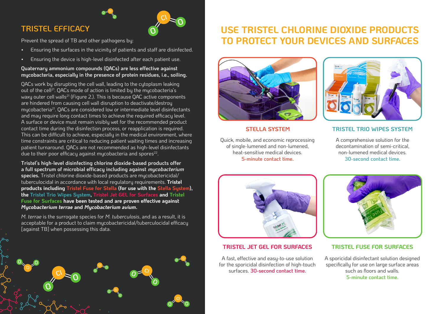## **TRISTEL EFFICACY**



**O**

**O**

**O**

**O O Cl**

**Cl**

**O**

**O**

**O**

**O**

**O**

Prevent the spread of TB and other pathogens by:

• Ensuring the surfaces in the vicinity of patients and staff are disinfected.

**O**

**O**

• Ensuring the device is high-level disinfected after each patient use.

#### **Quaternary ammonium compounds (QACs) are less effective against mycobacteria, especially in the presence of protein residues, i.e., soiling.**

QACs work by disrupting the cell wall, leading to the cytoplasm leaking out of the cell<sup>21</sup>. QACs mode of action is limited by the mycobacteria's waxy outer cell walls<sup>21</sup> (Figure 2.). This is because QAC active components are hindered from causing cell wall disruption to deactivate/destroy mycobacteria<sup>21</sup>. QACs are considered low or intermediate level disinfectants and may require long contact times to achieve the required efficacy level. A surface or device must remain visibly wet for the recommended product contact time during the disinfection process, or reapplication is required. This can be difficult to achieve, especially in the medical environment, where time constraints are critical to reducing patient waiting times and increasing patient turnaround. QACs are not recommended as high-level disinfectants due to their poor efficacy against mycobacteria and spores $^{\mathrm{22}}$ .

**Tristel's high-level disinfecting chlorine dioxide-based products offer a full spectrum of microbial efficacy including against mycobacterium species.** Tristel chlorine dioxide-based products are mycobactericidal/ tuberculocidal in accordance with local regulatory requirements. **Tristel products including Tristel Fuse for Stella (for use with the Stella System), the Tristel Trio Wipes System, Tristel Jet GEL for Surfaces and Tristel Fuse for Surfaces have been tested and are proven effective against**  *Mycobacterium terrae* **and** *Mycobacterium avium***.**

*M.terrae* is the surrogate species for *M. tuberculosis*, and as a result, it is acceptable for a product to claim mycobactericidal/tuberculocidal efficacy [against TB] when possessing this data.

**O**

**O**

**O O Cl**

**Cl**

## **USE TRISTEL CHLORINE DIOXIDE PRODUCTS TO PROTECT YOUR DEVICES AND SURFACES**





Quick, mobile, and economic reprocessing of single-lumened and non-lumened, heat-sensitive medical devices. **5-minute contact time.**

#### **STELLA SYSTEM TRISTEL TRIO WIPES SYSTEM**

A comprehensive solution for the decontamination of semi-critical, non-lumened medical devices. **30-second contact time.**



#### **TRISTEL JET GEL FOR SURFACES**

A fast, effective and easy-to-use solution for the sporicidal disinfection of high-touch surfaces. **30-second contact time.**



#### **TRISTEL FUSE FOR SURFACES**

A sporicidal disinfectant solution designed specifically for use on large surface areas such as floors and walls. **5-minute contact time.**